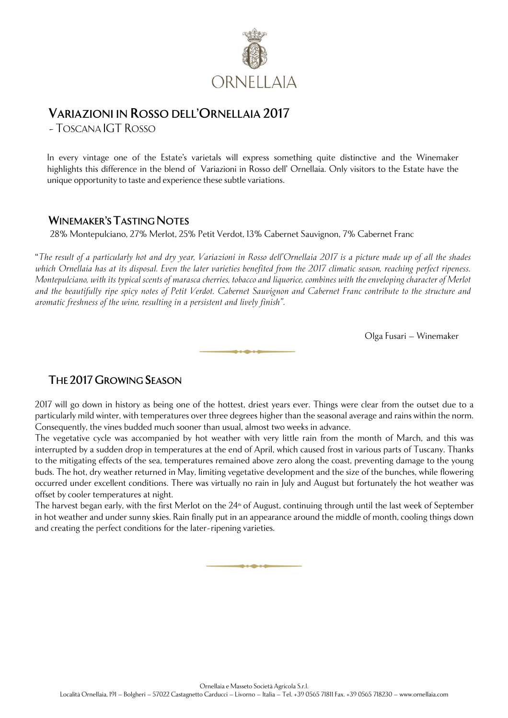

## **VARIAZIONI IN ROSSO DELL'ORNELLAIA 2017**

-TOSCANA IGT ROSSO

In every vintage one of the Estate's varietals will express something quite distinctive and the Winemaker highlights this difference in the blend of Variazioni in Rosso dell' Ornellaia. Only visitors to the Estate have the unique opportunity to taste and experience these subtle variations.

## **WINEMAKER'S TASTING NOTES**

28% Montepulciano, 27% Merlot, 25% Petit Verdot, 13% Cabernet Sauvignon, 7% Cabernet Franc

"*The result of a particularly hot and dry year, Variazioni in Rosso dell'Ornellaia 2017 is a picture made up of all the shades which Ornellaia has at its disposal. Even the later varieties benefited from the 2017 climatic season, reaching perfect ripeness. Montepulciano, with its typical scents of marasca cherries, tobacco and liquorice, combines with the enveloping character of Merlot and the beautifully ripe spicy notes of Petit Verdot. Cabernet Sauvignon and Cabernet Franc contribute to the structure and aromatic freshness of the wine, resulting in a persistent and lively finish".*

Olga Fusari – Winemaker

## **THE 2017GROWING SEASON**

2017 will go down in history as being one of the hottest, driest years ever. Things were clear from the outset due to a particularly mild winter, with temperatures over three degrees higher than the seasonal average and rains within the norm. Consequently, the vines budded much sooner than usual, almost two weeks in advance.

The vegetative cycle was accompanied by hot weather with very little rain from the month of March, and this was interrupted by a sudden drop in temperatures at the end of April, which caused frost in various parts of Tuscany. Thanks to the mitigating effects of the sea, temperatures remained above zero along the coast, preventing damage to the young buds. The hot, dry weather returned in May, limiting vegetative development and the size of the bunches, while flowering occurred under excellent conditions. There was virtually no rain in July and August but fortunately the hot weather was offset by cooler temperatures at night.

The harvest began early, with the first Merlot on the 24<sup>th</sup> of August, continuing through until the last week of September in hot weather and under sunny skies. Rain finally put in an appearance around the middle of month, cooling things down and creating the perfect conditions for the later-ripening varieties.

که و حاکه و حاد